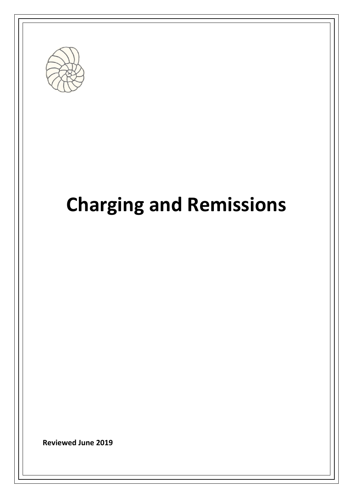

# **Charging and Remissions**

**Reviewed June 2019**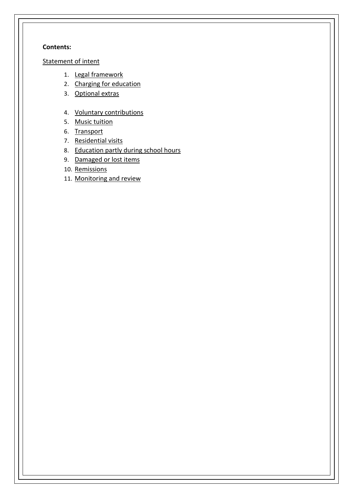#### **Contents:**

#### [Statement of intent](#page-2-0)

- 1. [Legal framework](#page-3-0)
- 2. [Charging for education](#page-3-1)
- 3. [Optional extras](#page-3-2)
- 4. [Voluntary contributions](#page-4-0)
- 5. [Music tuition](#page-5-0)
- 6. [Transport](#page-5-1)
- 7. [Residential visits](#page-5-2)
- 8. [Education partly during school hours](#page-6-0)
- 9. [Damaged or lost items](#page-6-1)
- 10. [Remissions](#page-6-2)
- 11. [Monitoring and review](#page-7-0)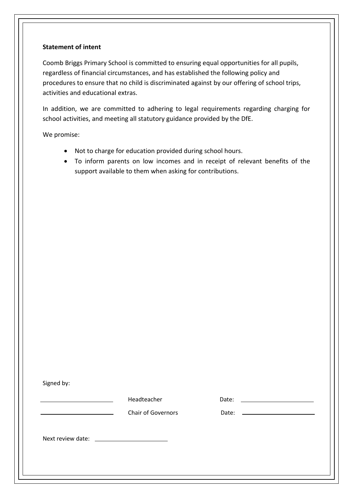#### <span id="page-2-0"></span>**Statement of intent**

Coomb Briggs Primary School is committed to ensuring equal opportunities for all pupils, regardless of financial circumstances, and has established the following policy and procedures to ensure that no child is discriminated against by our offering of school trips, activities and educational extras.

In addition, we are committed to adhering to legal requirements regarding charging for school activities, and meeting all statutory guidance provided by the DfE.

We promise:

- Not to charge for education provided during school hours.
- To inform parents on low incomes and in receipt of relevant benefits of the support available to them when asking for contributions.

Signed by:

Headteacher Date:

Chair of Governors **Date:** 

Next review date: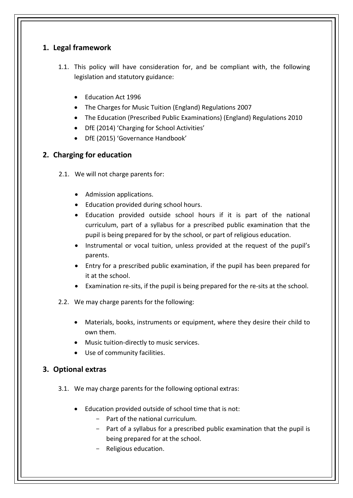# <span id="page-3-0"></span>**1. Legal framework**

- 1.1. This policy will have consideration for, and be compliant with, the following legislation and statutory guidance:
	- Education Act 1996
	- The Charges for Music Tuition (England) Regulations 2007
	- The Education (Prescribed Public Examinations) (England) Regulations 2010
	- DfE (2014) 'Charging for School Activities'
	- DfE (2015) 'Governance Handbook'

# <span id="page-3-1"></span>**2. Charging for education**

- 2.1. We will not charge parents for:
	- Admission applications.
	- Education provided during school hours.
	- Education provided outside school hours if it is part of the national curriculum, part of a syllabus for a prescribed public examination that the pupil is being prepared for by the school, or part of religious education.
	- Instrumental or vocal tuition, unless provided at the request of the pupil's parents.
	- Entry for a prescribed public examination, if the pupil has been prepared for it at the school.
	- Examination re-sits, if the pupil is being prepared for the re-sits at the school.
- 2.2. We may charge parents for the following:
	- Materials, books, instruments or equipment, where they desire their child to own them.
	- Music tuition-directly to music services.
	- Use of community facilities.

# <span id="page-3-2"></span>**3. Optional extras**

- 3.1. We may charge parents for the following optional extras:
	- Education provided outside of school time that is not:
		- Part of the national curriculum.
		- Part of a syllabus for a prescribed public examination that the pupil is being prepared for at the school.
		- Religious education.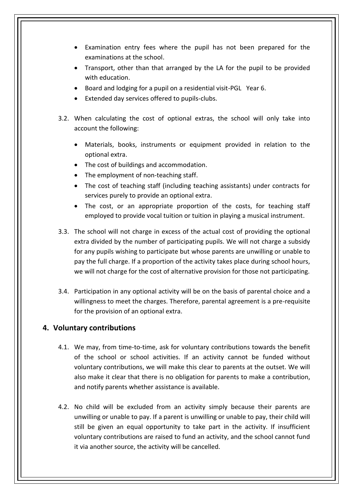- Examination entry fees where the pupil has not been prepared for the examinations at the school.
- Transport, other than that arranged by the LA for the pupil to be provided with education.
- Board and lodging for a pupil on a residential visit-PGL Year 6.
- Extended day services offered to pupils-clubs.
- 3.2. When calculating the cost of optional extras, the school will only take into account the following:
	- Materials, books, instruments or equipment provided in relation to the optional extra.
	- The cost of buildings and accommodation.
	- The employment of non-teaching staff.
	- The cost of teaching staff (including teaching assistants) under contracts for services purely to provide an optional extra.
	- The cost, or an appropriate proportion of the costs, for teaching staff employed to provide vocal tuition or tuition in playing a musical instrument.
- 3.3. The school will not charge in excess of the actual cost of providing the optional extra divided by the number of participating pupils. We will not charge a subsidy for any pupils wishing to participate but whose parents are unwilling or unable to pay the full charge. If a proportion of the activity takes place during school hours, we will not charge for the cost of alternative provision for those not participating.
- 3.4. Participation in any optional activity will be on the basis of parental choice and a willingness to meet the charges. Therefore, parental agreement is a pre-requisite for the provision of an optional extra.

## <span id="page-4-0"></span>**4. Voluntary contributions**

- 4.1. We may, from time-to-time, ask for voluntary contributions towards the benefit of the school or school activities. If an activity cannot be funded without voluntary contributions, we will make this clear to parents at the outset. We will also make it clear that there is no obligation for parents to make a contribution, and notify parents whether assistance is available.
- 4.2. No child will be excluded from an activity simply because their parents are unwilling or unable to pay. If a parent is unwilling or unable to pay, their child will still be given an equal opportunity to take part in the activity. If insufficient voluntary contributions are raised to fund an activity, and the school cannot fund it via another source, the activity will be cancelled.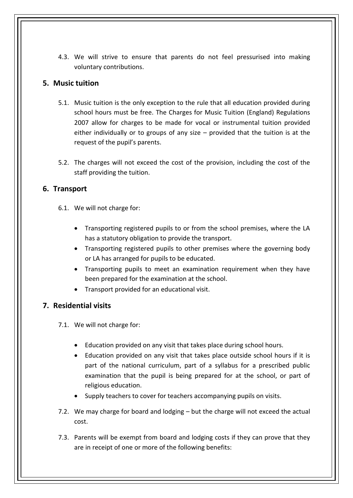4.3. We will strive to ensure that parents do not feel pressurised into making voluntary contributions.

## <span id="page-5-0"></span>**5. Music tuition**

- 5.1. Music tuition is the only exception to the rule that all education provided during school hours must be free. The Charges for Music Tuition (England) Regulations 2007 allow for charges to be made for vocal or instrumental tuition provided either individually or to groups of any size – provided that the tuition is at the request of the pupil's parents.
- 5.2. The charges will not exceed the cost of the provision, including the cost of the staff providing the tuition.

## <span id="page-5-1"></span>**6. Transport**

- 6.1. We will not charge for:
	- Transporting registered pupils to or from the school premises, where the LA has a statutory obligation to provide the transport.
	- Transporting registered pupils to other premises where the governing body or LA has arranged for pupils to be educated.
	- Transporting pupils to meet an examination requirement when they have been prepared for the examination at the school.
	- Transport provided for an educational visit.

# <span id="page-5-2"></span>**7. Residential visits**

- 7.1. We will not charge for:
	- Education provided on any visit that takes place during school hours.
	- Education provided on any visit that takes place outside school hours if it is part of the national curriculum, part of a syllabus for a prescribed public examination that the pupil is being prepared for at the school, or part of religious education.
	- Supply teachers to cover for teachers accompanying pupils on visits.
- 7.2. We may charge for board and lodging but the charge will not exceed the actual cost.
- 7.3. Parents will be exempt from board and lodging costs if they can prove that they are in receipt of one or more of the following benefits: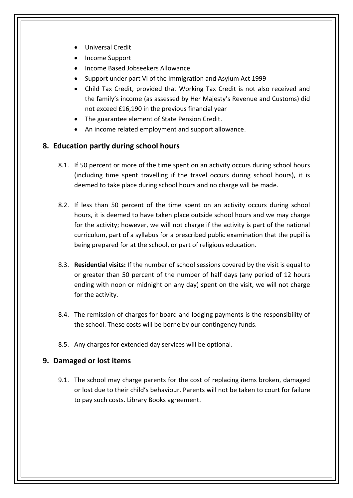- Universal Credit
- Income Support
- Income Based Jobseekers Allowance
- Support under part VI of the Immigration and Asylum Act 1999
- Child Tax Credit, provided that Working Tax Credit is not also received and the family's income (as assessed by Her Majesty's Revenue and Customs) did not exceed £16,190 in the previous financial year
- The guarantee element of State Pension Credit.
- An income related employment and support allowance.

#### <span id="page-6-0"></span>**8. Education partly during school hours**

- 8.1. If 50 percent or more of the time spent on an activity occurs during school hours (including time spent travelling if the travel occurs during school hours), it is deemed to take place during school hours and no charge will be made.
- 8.2. If less than 50 percent of the time spent on an activity occurs during school hours, it is deemed to have taken place outside school hours and we may charge for the activity; however, we will not charge if the activity is part of the national curriculum, part of a syllabus for a prescribed public examination that the pupil is being prepared for at the school, or part of religious education.
- 8.3. **Residential visits:** If the number of school sessions covered by the visit is equal to or greater than 50 percent of the number of half days (any period of 12 hours ending with noon or midnight on any day) spent on the visit, we will not charge for the activity.
- 8.4. The remission of charges for board and lodging payments is the responsibility of the school. These costs will be borne by our contingency funds.
- 8.5. Any charges for extended day services will be optional.

## <span id="page-6-1"></span>**9. Damaged or lost items**

<span id="page-6-2"></span>9.1. The school may charge parents for the cost of replacing items broken, damaged or lost due to their child's behaviour. Parents will not be taken to court for failure to pay such costs. Library Books agreement.